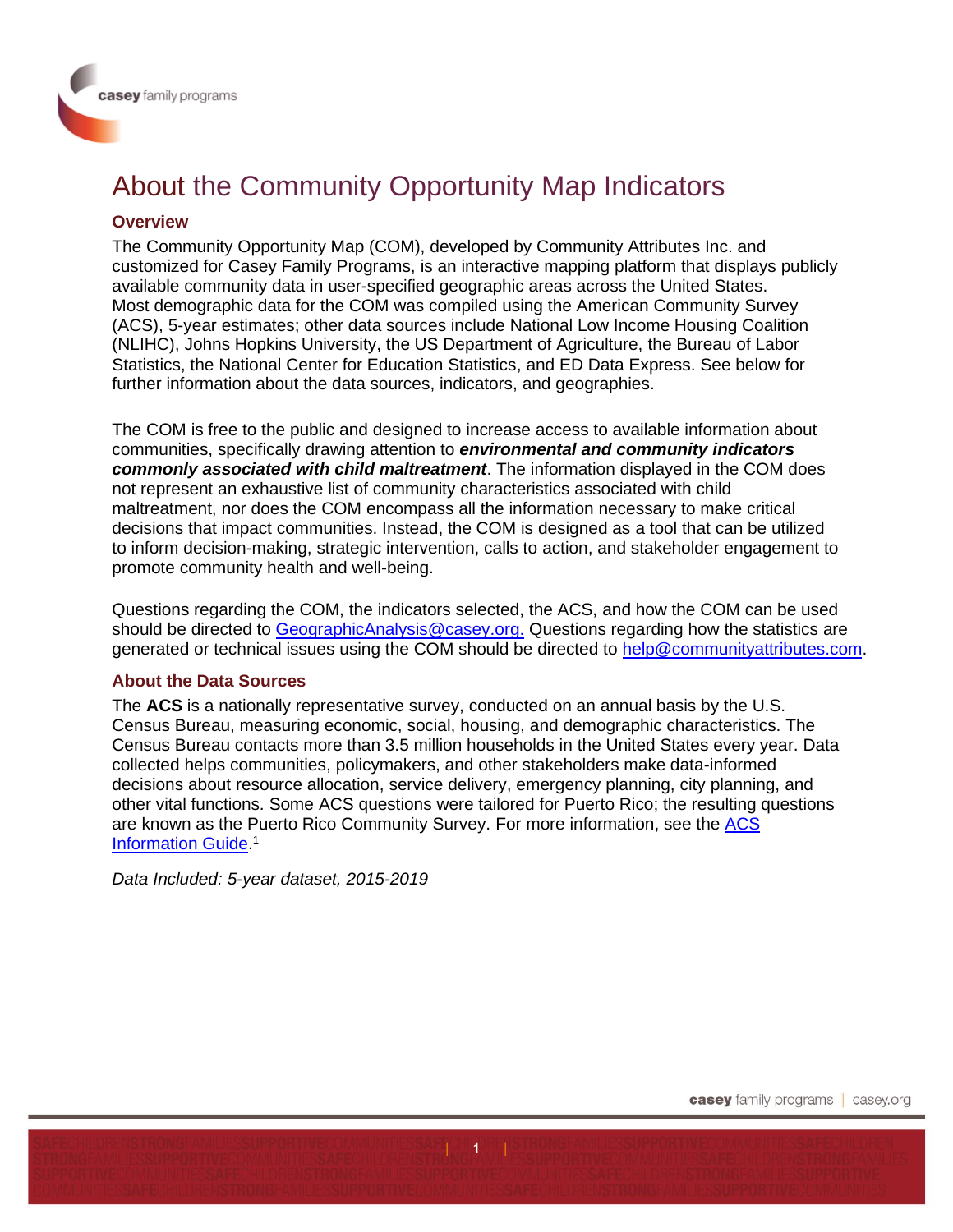# About the Community Opportunity Map Indicators

## **Overview**

The Community Opportunity Map (COM), developed by Community Attributes Inc. and customized for Casey Family Programs, is an interactive mapping platform that displays publicly available community data in user-specified geographic areas across the United States. Most demographic data for the COM was compiled using the American Community Survey (ACS), 5-year estimates; other data sources include National Low Income Housing Coalition (NLIHC), Johns Hopkins University, the US Department of Agriculture, the Bureau of Labor Statistics, the National Center for Education Statistics, and ED Data Express. See below for further information about the data sources, indicators, and geographies.

The COM is free to the public and designed to increase access to available information about communities, specifically drawing attention to *environmental and community indicators commonly associated with child maltreatment*. The information displayed in the COM does not represent an exhaustive list of community characteristics associated with child maltreatment, nor does the COM encompass all the information necessary to make critical decisions that impact communities. Instead, the COM is designed as a tool that can be utilized to inform decision-making, strategic intervention, calls to action, and stakeholder engagement to promote community health and well-being.

Questions regarding the COM, the indicators selected, the ACS, and how the COM can be used should be directed to [GeographicAnalysis@casey.org.](mailto:GeographicAnalysis@casey.org) Questions regarding how the statistics are generated or technical issues using the COM should be directed to [help@communityattributes.com.](mailto:help@communityattributes.com)

## **About the Data Sources**

The **ACS** is a nationally representative survey, conducted on an annual basis by the U.S. Census Bureau, measuring economic, social, housing, and demographic characteristics. The Census Bureau contacts more than 3.5 million households in the United States every year. Data collected helps communities, policymakers, and other stakeholders make data-informed decisions about resource allocation, service delivery, emergency planning, city planning, and other vital functions. Some ACS questions were tailored for Puerto Rico; the resulting questions are known as the Puerto Rico Community Survey. For more information, see the [ACS](https://www.census.gov/content/dam/Census/programs-surveys/acs/about/ACS_Information_Guide.pdf)  **[Information Guide.](https://www.census.gov/content/dam/Census/programs-surveys/acs/about/ACS_Information_Guide.pdf)<sup>1</sup>** 

*Data Included: 5-year dataset, 2015-2019*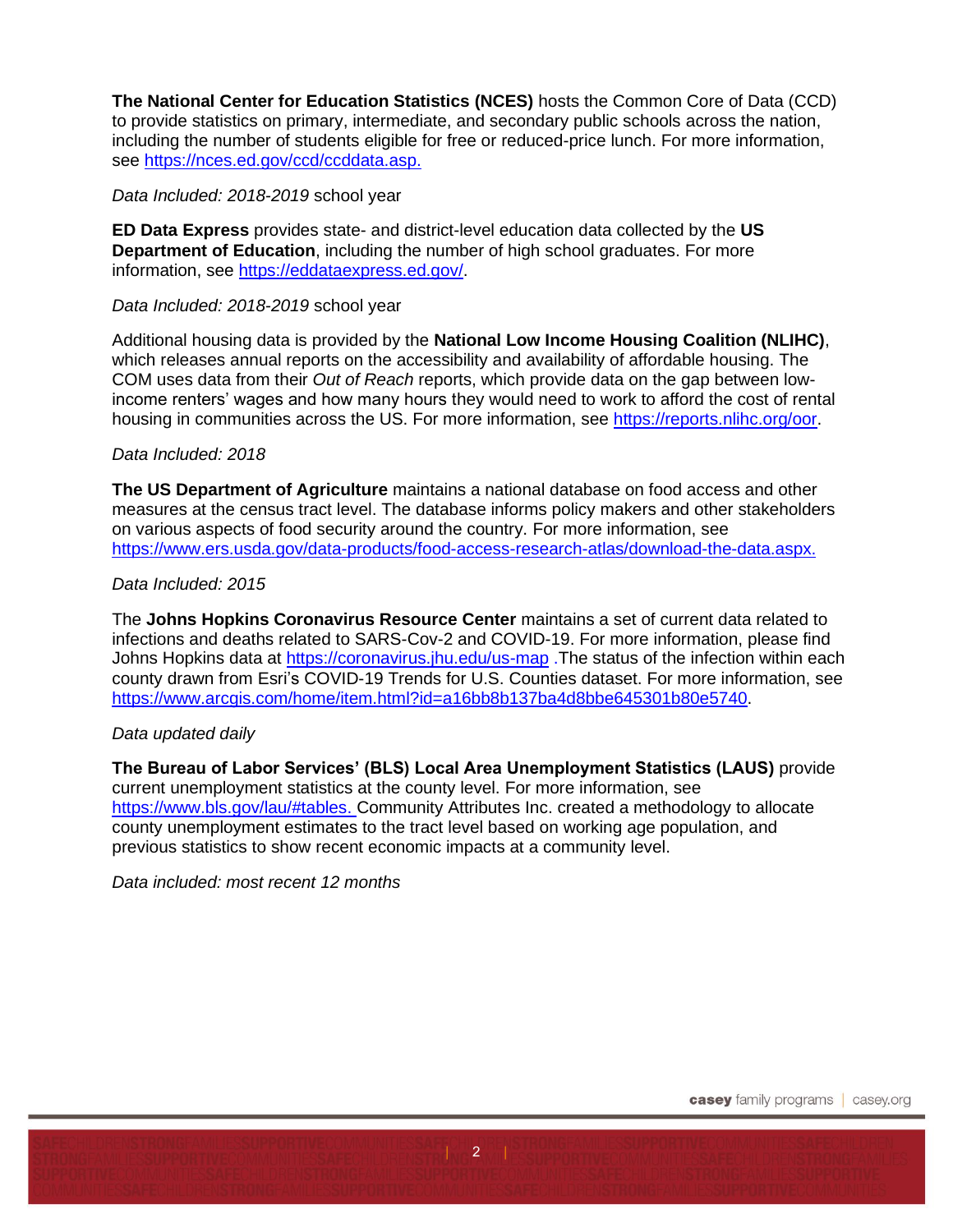**The National Center for Education Statistics (NCES)** hosts the Common Core of Data (CCD) to provide statistics on primary, intermediate, and secondary public schools across the nation, including the number of students eligible for free or reduced-price lunch. For more information, see [https://nces.ed.gov/ccd/ccddata.asp.](https://nces.ed.gov/ccd/ccddata.asp)

## *Data Included: 2018-2019* school year

**ED Data Express** provides state- and district-level education data collected by the **US Department of Education**, including the number of high school graduates. For more information, see [https://eddataexpress.ed.gov/.](https://eddataexpress.ed.gov/)

## *Data Included: 2018-2019* school year

Additional housing data is provided by the **National Low Income Housing Coalition (NLIHC)**, which releases annual reports on the accessibility and availability of affordable housing. The COM uses data from their *Out of Reach* reports, which provide data on the gap between lowincome renters' wages and how many hours they would need to work to afford the cost of rental housing in communities across the US. For more information, see [https://reports.nlihc.org/oor.](https://reports.nlihc.org/oor)

## *Data Included: 2018*

**The US Department of Agriculture** maintains a national database on food access and other measures at the census tract level. The database informs policy makers and other stakeholders on various aspects of food security around the country. For more information, see [https://www.ers.usda.gov/data-products/food-access-research-atlas/download-the-data.aspx.](https://www.ers.usda.gov/data-products/food-access-research-atlas/download-the-data.aspx)

## *Data Included: 2015*

The **Johns Hopkins Coronavirus Resource Center** maintains a set of current data related to infections and deaths related to SARS-Cov-2 and COVID-19. For more information, please find Johns Hopkins data at<https://coronavirus.jhu.edu/us-map> .The status of the infection within each county drawn from Esri's COVID-19 Trends for U.S. Counties dataset. For more information, see [https://www.arcgis.com/home/item.html?id=a16bb8b137ba4d8bbe645301b80e5740.](https://www.arcgis.com/home/item.html?id=a16bb8b137ba4d8bbe645301b80e5740)

## *Data updated daily*

**The Bureau of Labor Services' (BLS) Local Area Unemployment Statistics (LAUS)** provide current unemployment statistics at the county level. For more information, see [https://www.bls.gov/lau/#tables.](https://www.bls.gov/lau/#tables) Community Attributes Inc. created a methodology to allocate county unemployment estimates to the tract level based on working age population, and previous statistics to show recent economic impacts at a community level.

 $2$  |

*Data included: most recent 12 months*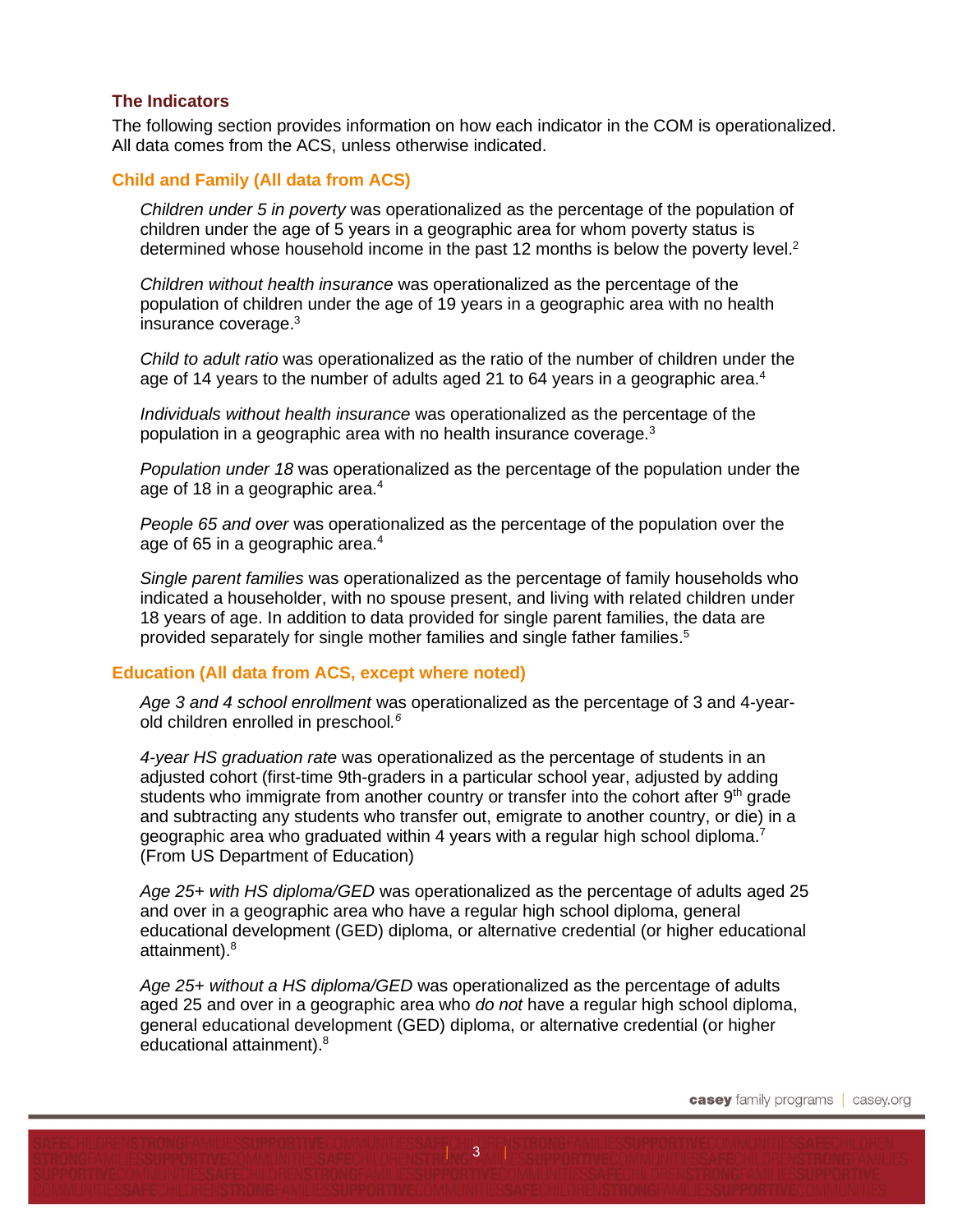#### **The Indicators**

The following section provides information on how each indicator in the COM is operationalized. All data comes from the ACS, unless otherwise indicated.

#### **Child and Family (All data from ACS)**

<span id="page-2-3"></span>*Children under 5 in poverty* was operationalized as the percentage of the population of children under the age of 5 years in a geographic area for whom poverty status is determined whose household income in the past 12 months is below the poverty level.<sup>2</sup>

*Children without health insurance* was operationalized as the percentage of the population of children under the age of 19 years in a geographic area with no health insurance coverage. 3

<span id="page-2-1"></span><span id="page-2-0"></span>*Child to adult ratio* was operationalized as the ratio of the number of children under the age of 14 years to the number of adults aged 21 to 64 years in a geographic area.<sup>4</sup>

*Individuals without health insurance* was operationalized as the percentage of the population in a geographic area with no health insurance coverage.<sup>[3](#page-2-0)</sup>

*Population under 18* was operationalized as the percentage of the population under the age of 18 in a geographic area.<sup>[4](#page-2-1)</sup>

*People 65 and over* was operationalized as the percentage of the population over the age of 65 in a geographic area.<sup>[4](#page-2-1)</sup>

*Single parent families* was operationalized as the percentage of family households who indicated a householder, with no spouse present, and living with related children under 18 years of age. In addition to data provided for single parent families, the data are provided separately for single mother families and single father families. 5

#### **Education (All data from ACS, except where noted)**

*Age 3 and 4 school enrollment* was operationalized as the percentage of 3 and 4-yearold children enrolled in preschool*. 6*

*4-year HS graduation rate* was operationalized as the percentage of students in an adjusted cohort (first-time 9th-graders in a particular school year, adjusted by adding students who immigrate from another country or transfer into the cohort after 9<sup>th</sup> grade and subtracting any students who transfer out, emigrate to another country, or die) in a geographic area who graduated within 4 years with a regular high school diploma.<sup>7</sup> (From US Department of Education)

*Age 25+ with HS diploma/GED* was operationalized as the percentage of adults aged 25 and over in a geographic area who have a regular high school diploma, general educational development (GED) diploma, or alternative credential (or higher educational attainment).<sup>[8](#page-2-2)</sup>

*Age 25+ without a HS diploma/GED* was operationalized as the percentage of adults aged 25 and over in a geographic area who *do not* have a regular high school diploma, general educational development (GED) diploma, or alternative credential (or higher educational attainment).<sup>8</sup>

<span id="page-2-2"></span> $|3|$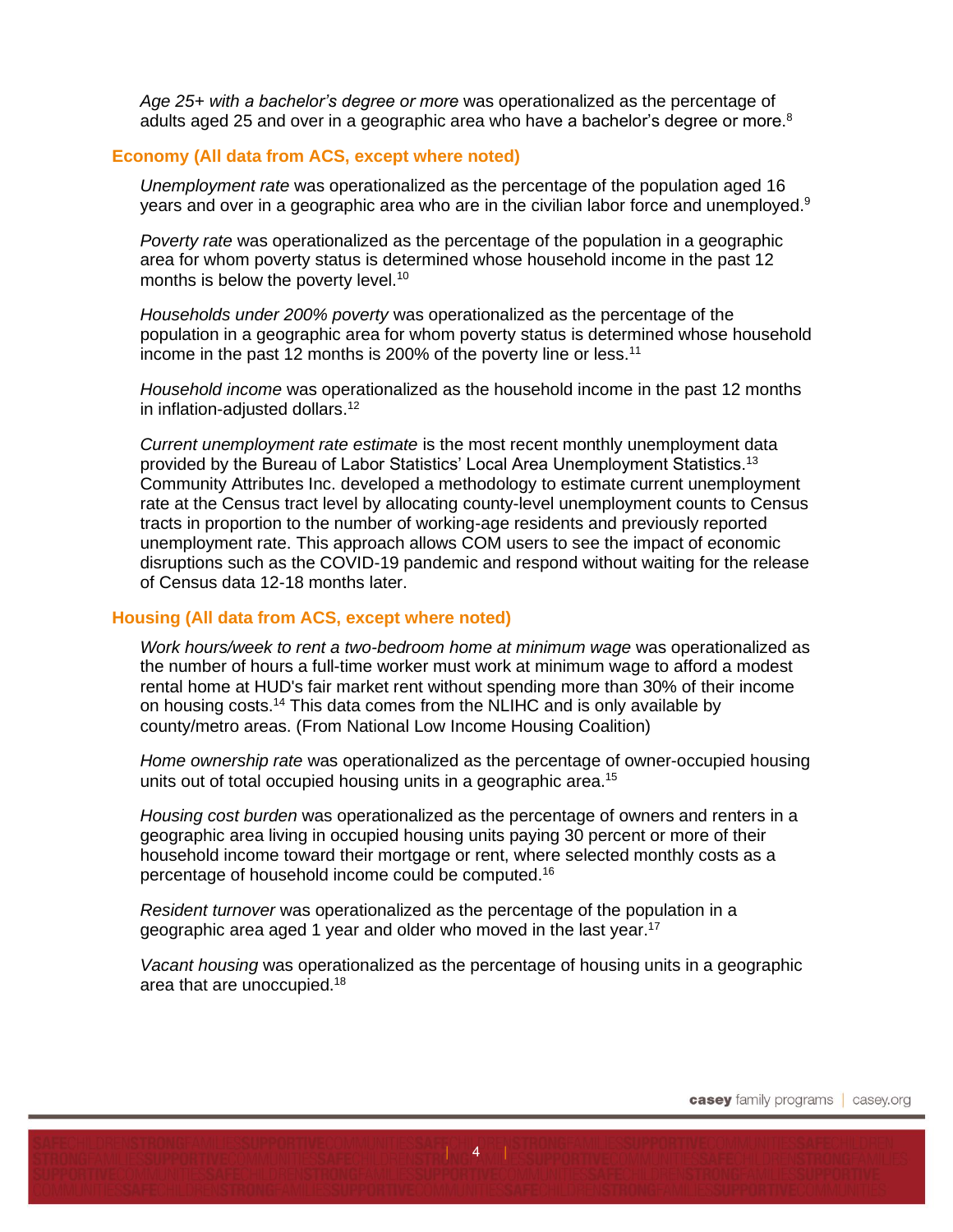*Age 25+ with a bachelor's degree or more* was operationalized as the percentage of adults aged 25 and over in a geographic area who have a bachelor's degree or more.<sup>[8](#page-2-2)</sup>

#### **Economy (All data from ACS, except where noted)**

<span id="page-3-0"></span>*Unemployment rate* was operationalized as the percentage of the population aged 16 years and over in a geographic area who are in the civilian labor force and unemployed.<sup>9</sup>

*Poverty rate* was operationalized as the percentage of the population in a geographic area for whom poverty status is determined whose household income in the past 12 months is below the poverty level.<sup>10</sup>

*Households under 200% poverty* was operationalized as the percentage of the population in a geographic area for whom poverty status is determined whose household income in the past 12 months is 200% of the poverty line or less.<sup>11</sup>

*Household income* was operationalized as the household income in the past 12 months in inflation-adjusted dollars.<sup>12</sup>

*Current unemployment rate estimate* is the most recent monthly unemployment data provided by the Bureau of Labor Statistics' Local Area Unemployment Statistics.<sup>13</sup> Community Attributes Inc. developed a methodology to estimate current unemployment rate at the Census tract level by allocating county-level unemployment counts to Census tracts in proportion to the number of working-age residents and previously reported unemployment rate. This approach allows COM users to see the impact of economic disruptions such as the COVID-19 pandemic and respond without waiting for the release of Census data 12-18 months later.

#### **Housing (All data from ACS, except where noted)**

*Work hours/week to rent a two-bedroom home at minimum wage* was operationalized as the number of hours a full-time worker must work at minimum wage to afford a modest rental home at HUD's fair market rent without spending more than 30% of their income on housing costs.<sup>14</sup> This data comes from the NLIHC and is only available by county/metro areas. (From National Low Income Housing Coalition)

*Home ownership rate* was operationalized as the percentage of owner-occupied housing units out of total occupied housing units in a geographic area.<sup>15</sup>

*Housing cost burden* was operationalized as the percentage of owners and renters in a geographic area living in occupied housing units paying 30 percent or more of their household income toward their mortgage or rent, where selected monthly costs as a percentage of household income could be computed. 16

*Resident turnover* was operationalized as the percentage of the population in a geographic area aged 1 year and older who moved in the last year.<sup>17</sup>

*Vacant housing* was operationalized as the percentage of housing units in a geographic area that are unoccupied.<sup>18</sup>

 $|4$  |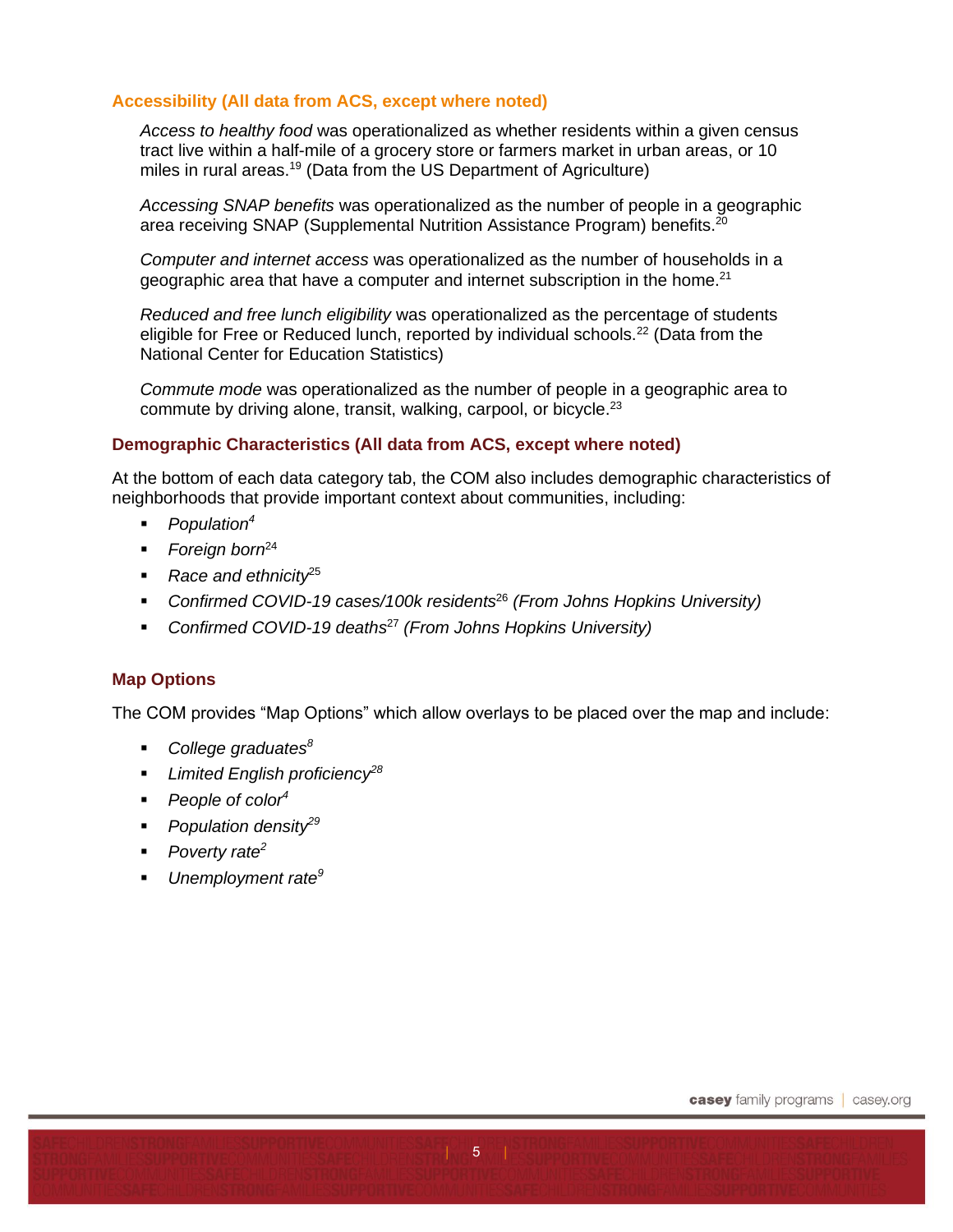## **Accessibility (All data from ACS, except where noted)**

*Access to healthy food* was operationalized as whether residents within a given census tract live within a half-mile of a grocery store or farmers market in urban areas, or 10 miles in rural areas.<sup>19</sup> (Data from the US Department of Agriculture)

*Accessing SNAP benefits* was operationalized as the number of people in a geographic area receiving SNAP (Supplemental Nutrition Assistance Program) benefits.<sup>20</sup>

*Computer and internet access* was operationalized as the number of households in a geographic area that have a computer and internet subscription in the home.<sup>21</sup>

*Reduced and free lunch eligibility* was operationalized as the percentage of students eligible for Free or Reduced lunch, reported by individual schools.<sup>22</sup> (Data from the National Center for Education Statistics)

*Commute mode* was operationalized as the number of people in a geographic area to commute by driving alone, transit, walking, carpool, or bicycle.<sup>23</sup>

#### **Demographic Characteristics (All data from ACS, except where noted)**

At the bottom of each data category tab, the COM also includes demographic characteristics of neighborhoods that provide important context about communities, including:

- *Population[4](#page-2-1)*
- *Foreign born*<sup>24</sup>
- *Race and ethnicity*<sup>25</sup>
- *Confirmed COVID-19 cases/100k residents*<sup>26</sup> *(From Johns Hopkins University)*
- *Confirmed COVID-19 deaths*<sup>27</sup> *(From Johns Hopkins University)*

## **Map Options**

The COM provides "Map Options" which allow overlays to be placed over the map and include:

- *College graduates<sup>8</sup>*
- *Limited English proficiency<sup>28</sup>*
- *People of colo[r](#page-2-1)<sup>4</sup>*
- *Population density*<sup>29</sup>
- *Poverty rate<sup>[2](#page-2-3)</sup>*
- *Unemployment rate[9](#page-3-0)*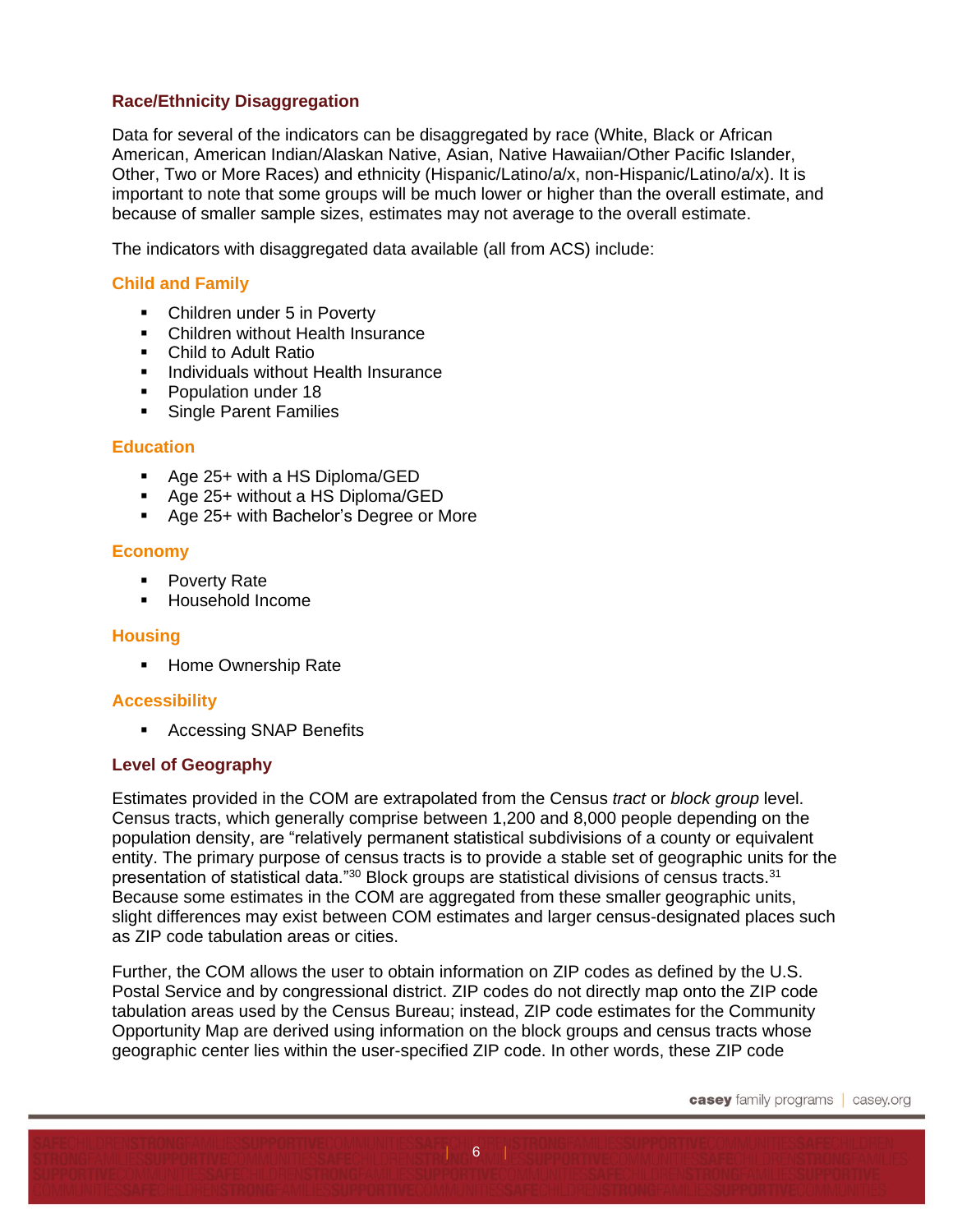## **Race/Ethnicity Disaggregation**

Data for several of the indicators can be disaggregated by race (White, Black or African American, American Indian/Alaskan Native, Asian, Native Hawaiian/Other Pacific Islander, Other, Two or More Races) and ethnicity (Hispanic/Latino/a/x, non-Hispanic/Latino/a/x). It is important to note that some groups will be much lower or higher than the overall estimate, and because of smaller sample sizes, estimates may not average to the overall estimate.

The indicators with disaggregated data available (all from ACS) include:

## **Child and Family**

- Children under 5 in Poverty
- Children without Health Insurance
- Child to Adult Ratio
- **Individuals without Health Insurance**
- Population under 18
- **EXEC** Single Parent Families

## **Education**

- Age 25+ with a HS Diploma/GED
- Age 25+ without a HS Diploma/GED
- Age 25+ with Bachelor's Degree or More

## **Economy**

- Poverty Rate
- Household Income

## **Housing**

■ Home Ownership Rate

## **Accessibility**

■ Accessing SNAP Benefits

## **Level of Geography**

Estimates provided in the COM are extrapolated from the Census *tract* or *block group* level. Census tracts, which generally comprise between 1,200 and 8,000 people depending on the population density, are "relatively permanent statistical subdivisions of a county or equivalent entity. The primary purpose of census tracts is to provide a stable set of geographic units for the presentation of statistical data."<sup>30</sup> Block groups are statistical divisions of census tracts.<sup>31</sup> Because some estimates in the COM are aggregated from these smaller geographic units, slight differences may exist between COM estimates and larger census-designated places such as ZIP code tabulation areas or cities.

Further, the COM allows the user to obtain information on ZIP codes as defined by the U.S. Postal Service and by congressional district. ZIP codes do not directly map onto the ZIP code tabulation areas used by the Census Bureau; instead, ZIP code estimates for the Community Opportunity Map are derived using information on the block groups and census tracts whose geographic center lies within the user-specified ZIP code. In other words, these ZIP code

 $6<sup>°</sup>$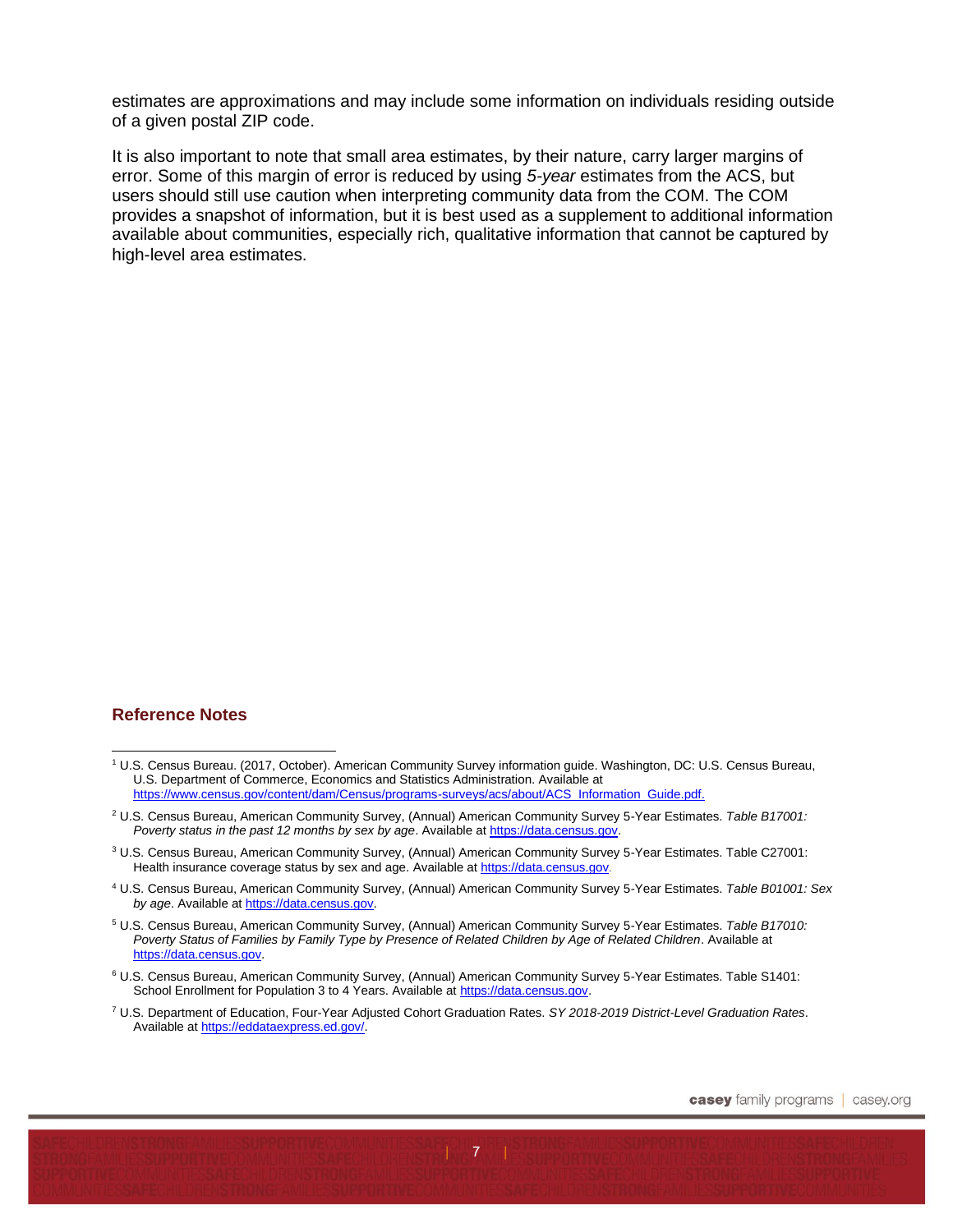estimates are approximations and may include some information on individuals residing outside of a given postal ZIP code.

It is also important to note that small area estimates, by their nature, carry larger margins of error. Some of this margin of error is reduced by using *5-year* estimates from the ACS, but users should still use caution when interpreting community data from the COM. The COM provides a snapshot of information, but it is best used as a supplement to additional information available about communities, especially rich, qualitative information that cannot be captured by high-level area estimates.

#### **Reference Notes**

 $\overline{7}$ 

<sup>1</sup> U.S. Census Bureau. (2017, October). American Community Survey information guide. Washington, DC: U.S. Census Bureau, U.S. Department of Commerce, Economics and Statistics Administration. Available at [https://www.census.gov/content/dam/Census/programs-surveys/acs/about/ACS\\_Information\\_Guide.pdf.](https://www.census.gov/content/dam/Census/programs-surveys/acs/about/ACS_Information_Guide.pdf)

<sup>2</sup> U.S. Census Bureau, American Community Survey, (Annual) American Community Survey 5-Year Estimates. *Table B17001: Poverty status in the past 12 months by sex by age*. Available a[t https://data.census.gov.](https://data.census.gov/)

<sup>&</sup>lt;sup>3</sup> U.S. Census Bureau, American Community Survey, (Annual) American Community Survey 5-Year Estimates. Table C27001: Health insurance coverage status by sex and age. Available at [https://data.census.gov](https://data.census.gov/).

<sup>4</sup> U.S. Census Bureau, American Community Survey, (Annual) American Community Survey 5-Year Estimates. *Table B01001: Sex by age*. Available at [https://data.census.gov.](https://data.census.gov/)

<sup>5</sup> U.S. Census Bureau, American Community Survey, (Annual) American Community Survey 5-Year Estimates. *Table B17010: Poverty Status of Families by Family Type by Presence of Related Children by Age of Related Children*. Available at [https://data.census.gov.](https://data.census.gov/)

<sup>6</sup> U.S. Census Bureau, American Community Survey, (Annual) American Community Survey 5-Year Estimates. Table S1401: School Enrollment for Population 3 to 4 Years. Available at [https://data.census.gov.](https://data.census.gov/)

<sup>7</sup> U.S. Department of Education, Four-Year Adjusted Cohort Graduation Rates. *SY 2018-2019 District-Level Graduation Rates*. Available a[t https://eddataexpress.ed.gov/.](https://eddataexpress.ed.gov/)